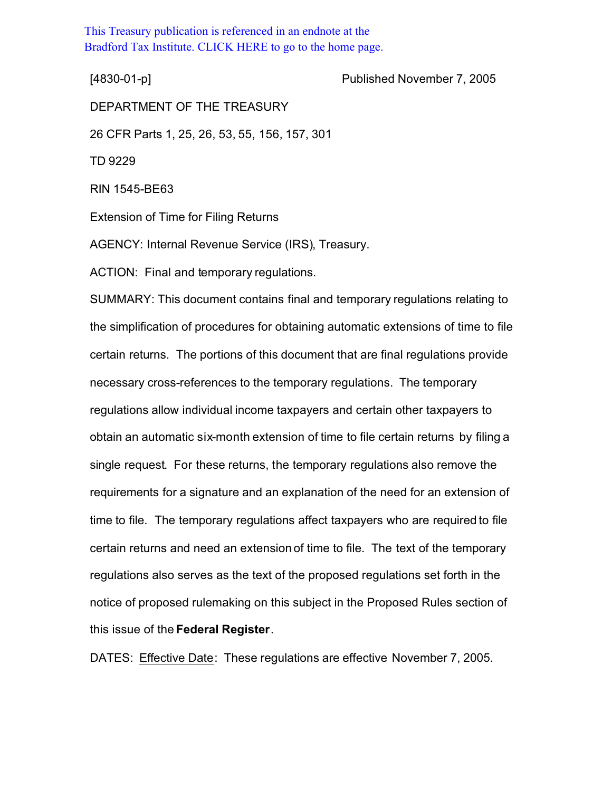This Treasury publication is referenced in an endnote at the [Bradford Tax Institute. CLICK HERE to go to the home page.](http://www.bradfordtaxinstitute.com/)

[4830-01-p] Published November 7, 2005

DEPARTMENT OF THE TREASURY 26 CFR Parts 1, 25, 26, 53, 55, 156, 157, 301 TD 9229 RIN 1545-BE63 Extension of Time for Filing Returns AGENCY: Internal Revenue Service (IRS), Treasury. ACTION: Final and temporary regulations.

SUMMARY: This document contains final and temporary regulations relating to the simplification of procedures for obtaining automatic extensions of time to file certain returns. The portions of this document that are final regulations provide necessary cross-references to the temporary regulations. The temporary regulations allow individual income taxpayers and certain other taxpayers to obtain an automatic six-month extension of time to file certain returns by filing a single request. For these returns, the temporary regulations also remove the requirements for a signature and an explanation of the need for an extension of time to file. The temporary regulations affect taxpayers who are required to file certain returns and need an extension of time to file. The text of the temporary regulations also serves as the text of the proposed regulations set forth in the notice of proposed rulemaking on this subject in the Proposed Rules section of this issue of the **Federal Register**.

DATES: Effective Date: These regulations are effective November 7, 2005.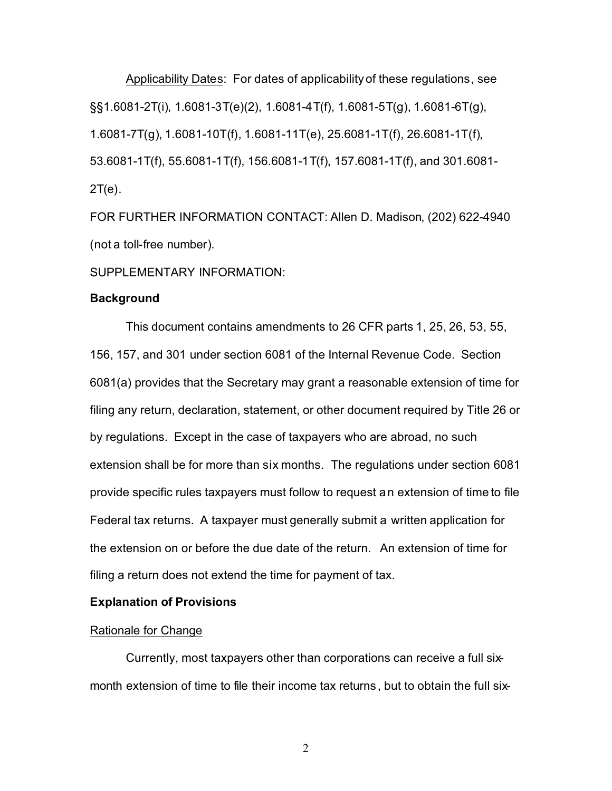Applicability Dates: For dates of applicability of these regulations, see §§1.6081-2T(i), 1.6081-3T(e)(2), 1.6081-4T(f), 1.6081-5T(g), 1.6081-6T(g), 1.6081-7T(g), 1.6081-10T(f), 1.6081-11T(e), 25.6081-1T(f), 26.6081-1T(f), 53.6081-1T(f), 55.6081-1T(f), 156.6081-1T(f), 157.6081-1T(f), and 301.6081- 2T(e).

FOR FURTHER INFORMATION CONTACT: Allen D. Madison, (202) 622-4940 (not a toll-free number).

SUPPLEMENTARY INFORMATION:

# **Background**

This document contains amendments to 26 CFR parts 1, 25, 26, 53, 55, 156, 157, and 301 under section 6081 of the Internal Revenue Code. Section 6081(a) provides that the Secretary may grant a reasonable extension of time for filing any return, declaration, statement, or other document required by Title 26 or by regulations. Except in the case of taxpayers who are abroad, no such extension shall be for more than six months. The regulations under section 6081 provide specific rules taxpayers must follow to request an extension of time to file Federal tax returns. A taxpayer must generally submit a written application for the extension on or before the due date of the return. An extension of time for filing a return does not extend the time for payment of tax.

# **Explanation of Provisions**

## Rationale for Change

Currently, most taxpayers other than corporations can receive a full sixmonth extension of time to file their income tax returns, but to obtain the full six-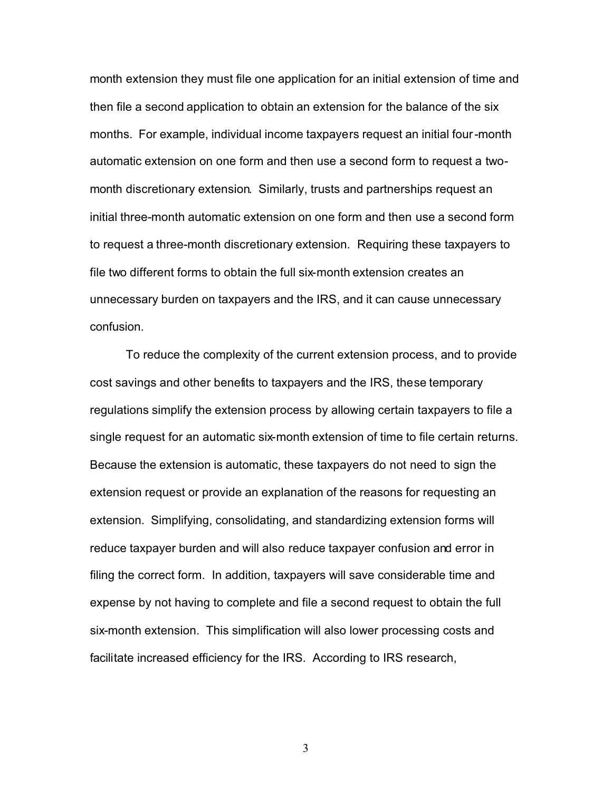month extension they must file one application for an initial extension of time and then file a second application to obtain an extension for the balance of the six months. For example, individual income taxpayers request an initial four-month automatic extension on one form and then use a second form to request a twomonth discretionary extension. Similarly, trusts and partnerships request an initial three-month automatic extension on one form and then use a second form to request a three-month discretionary extension. Requiring these taxpayers to file two different forms to obtain the full six-month extension creates an unnecessary burden on taxpayers and the IRS, and it can cause unnecessary confusion.

To reduce the complexity of the current extension process, and to provide cost savings and other benefits to taxpayers and the IRS, these temporary regulations simplify the extension process by allowing certain taxpayers to file a single request for an automatic six-month extension of time to file certain returns. Because the extension is automatic, these taxpayers do not need to sign the extension request or provide an explanation of the reasons for requesting an extension. Simplifying, consolidating, and standardizing extension forms will reduce taxpayer burden and will also reduce taxpayer confusion and error in filing the correct form. In addition, taxpayers will save considerable time and expense by not having to complete and file a second request to obtain the full six-month extension. This simplification will also lower processing costs and facilitate increased efficiency for the IRS. According to IRS research,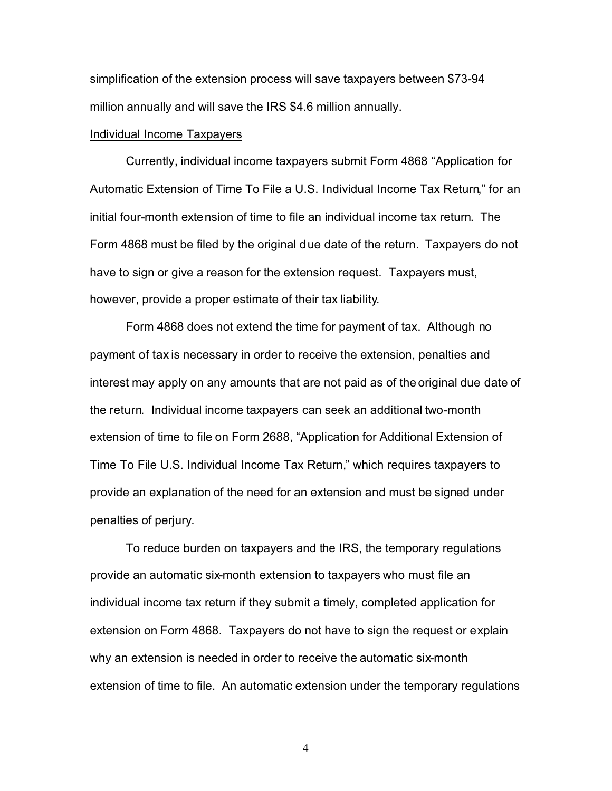simplification of the extension process will save taxpayers between \$73-94 million annually and will save the IRS \$4.6 million annually.

# Individual Income Taxpayers

Currently, individual income taxpayers submit Form 4868 "Application for Automatic Extension of Time To File a U.S. Individual Income Tax Return," for an initial four-month extension of time to file an individual income tax return. The Form 4868 must be filed by the original due date of the return. Taxpayers do not have to sign or give a reason for the extension request. Taxpayers must, however, provide a proper estimate of their tax liability.

Form 4868 does not extend the time for payment of tax. Although no payment of tax is necessary in order to receive the extension, penalties and interest may apply on any amounts that are not paid as of the original due date of the return. Individual income taxpayers can seek an additional two-month extension of time to file on Form 2688, "Application for Additional Extension of Time To File U.S. Individual Income Tax Return," which requires taxpayers to provide an explanation of the need for an extension and must be signed under penalties of perjury.

To reduce burden on taxpayers and the IRS, the temporary regulations provide an automatic six-month extension to taxpayers who must file an individual income tax return if they submit a timely, completed application for extension on Form 4868. Taxpayers do not have to sign the request or explain why an extension is needed in order to receive the automatic six-month extension of time to file. An automatic extension under the temporary regulations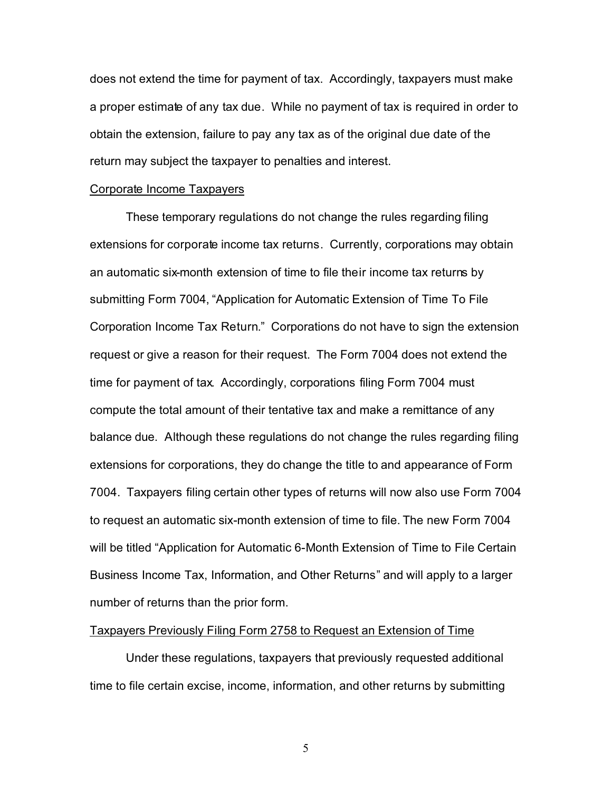does not extend the time for payment of tax. Accordingly, taxpayers must make a proper estimate of any tax due. While no payment of tax is required in order to obtain the extension, failure to pay any tax as of the original due date of the return may subject the taxpayer to penalties and interest.

#### Corporate Income Taxpayers

These temporary regulations do not change the rules regarding filing extensions for corporate income tax returns. Currently, corporations may obtain an automatic six-month extension of time to file their income tax returns by submitting Form 7004, "Application for Automatic Extension of Time To File Corporation Income Tax Return." Corporations do not have to sign the extension request or give a reason for their request. The Form 7004 does not extend the time for payment of tax. Accordingly, corporations filing Form 7004 must compute the total amount of their tentative tax and make a remittance of any balance due. Although these regulations do not change the rules regarding filing extensions for corporations, they do change the title to and appearance of Form 7004. Taxpayers filing certain other types of returns will now also use Form 7004 to request an automatic six-month extension of time to file. The new Form 7004 will be titled "Application for Automatic 6-Month Extension of Time to File Certain Business Income Tax, Information, and Other Returns" and will apply to a larger number of returns than the prior form.

## Taxpayers Previously Filing Form 2758 to Request an Extension of Time

Under these regulations, taxpayers that previously requested additional time to file certain excise, income, information, and other returns by submitting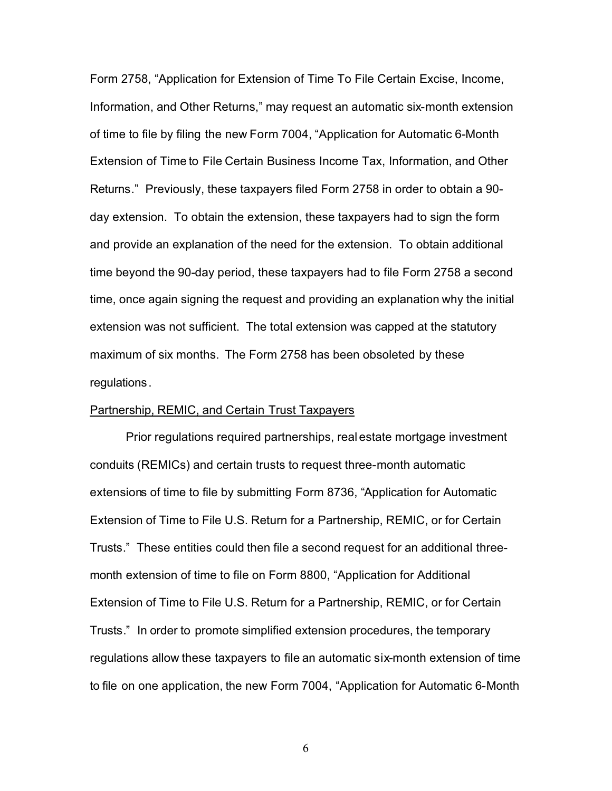Form 2758, "Application for Extension of Time To File Certain Excise, Income, Information, and Other Returns," may request an automatic six-month extension of time to file by filing the new Form 7004, "Application for Automatic 6-Month Extension of Time to File Certain Business Income Tax, Information, and Other Returns." Previously, these taxpayers filed Form 2758 in order to obtain a 90 day extension. To obtain the extension, these taxpayers had to sign the form and provide an explanation of the need for the extension. To obtain additional time beyond the 90-day period, these taxpayers had to file Form 2758 a second time, once again signing the request and providing an explanation why the initial extension was not sufficient. The total extension was capped at the statutory maximum of six months. The Form 2758 has been obsoleted by these regulations.

# Partnership, REMIC, and Certain Trust Taxpayers

Prior regulations required partnerships, real estate mortgage investment conduits (REMICs) and certain trusts to request three-month automatic extensions of time to file by submitting Form 8736, "Application for Automatic Extension of Time to File U.S. Return for a Partnership, REMIC, or for Certain Trusts." These entities could then file a second request for an additional threemonth extension of time to file on Form 8800, "Application for Additional Extension of Time to File U.S. Return for a Partnership, REMIC, or for Certain Trusts." In order to promote simplified extension procedures, the temporary regulations allow these taxpayers to file an automatic six-month extension of time to file on one application, the new Form 7004, "Application for Automatic 6-Month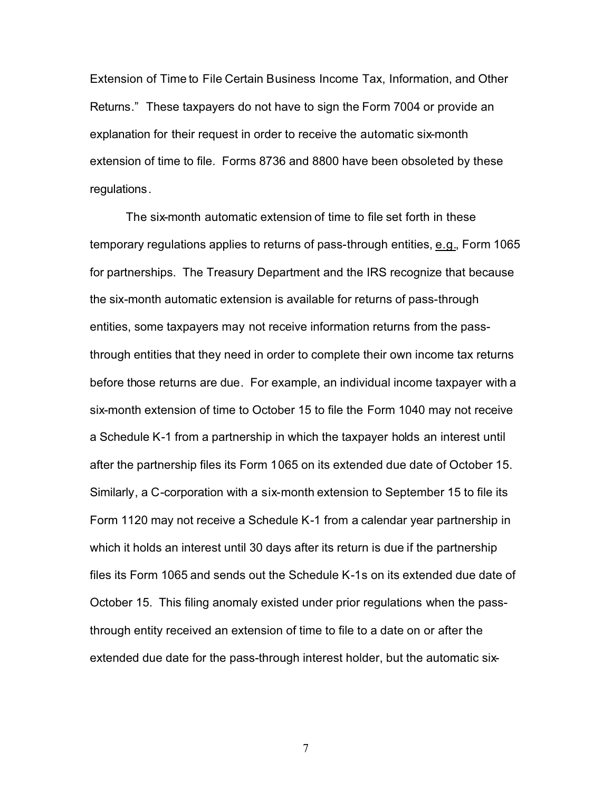Extension of Time to File Certain Business Income Tax, Information, and Other Returns." These taxpayers do not have to sign the Form 7004 or provide an explanation for their request in order to receive the automatic six-month extension of time to file. Forms 8736 and 8800 have been obsoleted by these regulations.

The six-month automatic extension of time to file set forth in these temporary regulations applies to returns of pass-through entities, e.g., Form 1065 for partnerships. The Treasury Department and the IRS recognize that because the six-month automatic extension is available for returns of pass-through entities, some taxpayers may not receive information returns from the passthrough entities that they need in order to complete their own income tax returns before those returns are due. For example, an individual income taxpayer with a six-month extension of time to October 15 to file the Form 1040 may not receive a Schedule K-1 from a partnership in which the taxpayer holds an interest until after the partnership files its Form 1065 on its extended due date of October 15. Similarly, a C-corporation with a six-month extension to September 15 to file its Form 1120 may not receive a Schedule K-1 from a calendar year partnership in which it holds an interest until 30 days after its return is due if the partnership files its Form 1065 and sends out the Schedule K-1s on its extended due date of October 15. This filing anomaly existed under prior regulations when the passthrough entity received an extension of time to file to a date on or after the extended due date for the pass-through interest holder, but the automatic six-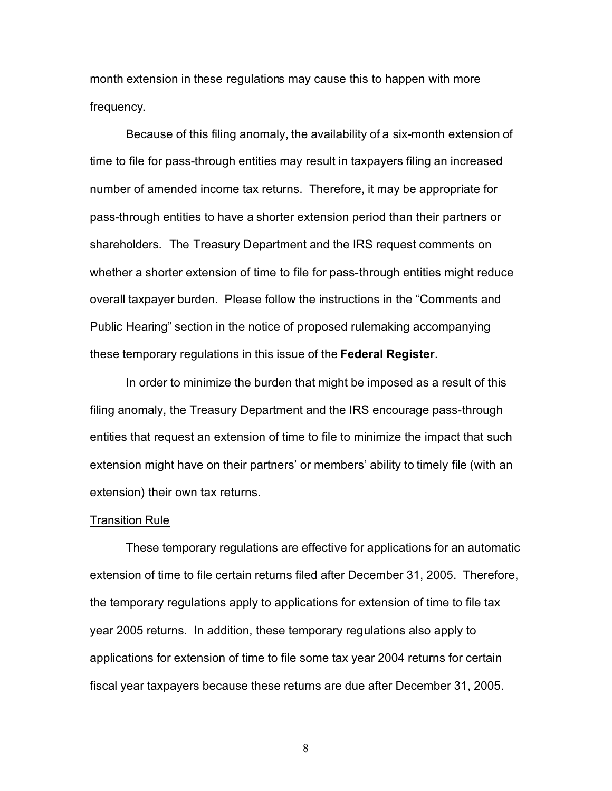month extension in these regulations may cause this to happen with more frequency.

Because of this filing anomaly, the availability of a six-month extension of time to file for pass-through entities may result in taxpayers filing an increased number of amended income tax returns. Therefore, it may be appropriate for pass-through entities to have a shorter extension period than their partners or shareholders. The Treasury Department and the IRS request comments on whether a shorter extension of time to file for pass-through entities might reduce overall taxpayer burden. Please follow the instructions in the "Comments and Public Hearing" section in the notice of proposed rulemaking accompanying these temporary regulations in this issue of the **Federal Register**.

In order to minimize the burden that might be imposed as a result of this filing anomaly, the Treasury Department and the IRS encourage pass-through entities that request an extension of time to file to minimize the impact that such extension might have on their partners' or members' ability to timely file (with an extension) their own tax returns.

#### Transition Rule

These temporary regulations are effective for applications for an automatic extension of time to file certain returns filed after December 31, 2005. Therefore, the temporary regulations apply to applications for extension of time to file tax year 2005 returns. In addition, these temporary regulations also apply to applications for extension of time to file some tax year 2004 returns for certain fiscal year taxpayers because these returns are due after December 31, 2005.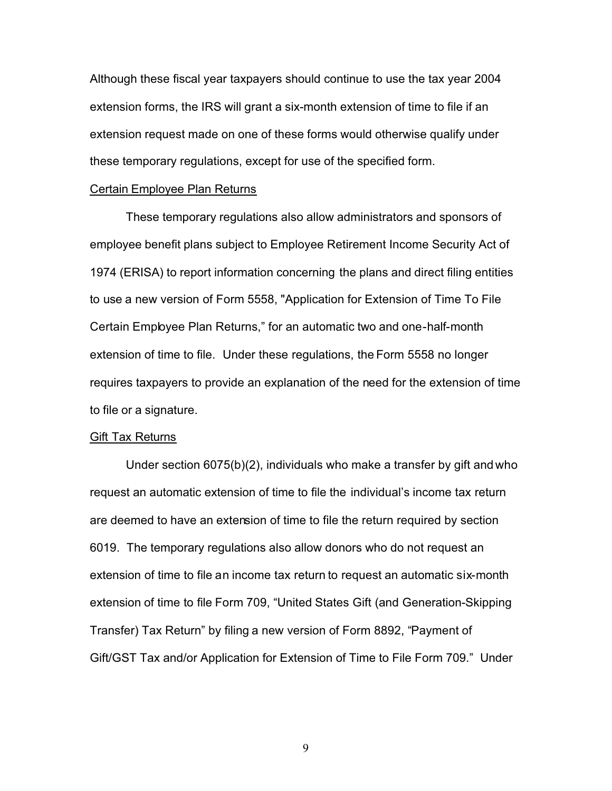Although these fiscal year taxpayers should continue to use the tax year 2004 extension forms, the IRS will grant a six-month extension of time to file if an extension request made on one of these forms would otherwise qualify under these temporary regulations, except for use of the specified form.

#### Certain Employee Plan Returns

These temporary regulations also allow administrators and sponsors of employee benefit plans subject to Employee Retirement Income Security Act of 1974 (ERISA) to report information concerning the plans and direct filing entities to use a new version of Form 5558, "Application for Extension of Time To File Certain Employee Plan Returns," for an automatic two and one-half-month extension of time to file. Under these regulations, the Form 5558 no longer requires taxpayers to provide an explanation of the need for the extension of time to file or a signature.

#### Gift Tax Returns

Under section 6075(b)(2), individuals who make a transfer by gift and who request an automatic extension of time to file the individual's income tax return are deemed to have an extension of time to file the return required by section 6019. The temporary regulations also allow donors who do not request an extension of time to file an income tax return to request an automatic six-month extension of time to file Form 709, "United States Gift (and Generation-Skipping Transfer) Tax Return" by filing a new version of Form 8892, "Payment of Gift/GST Tax and/or Application for Extension of Time to File Form 709." Under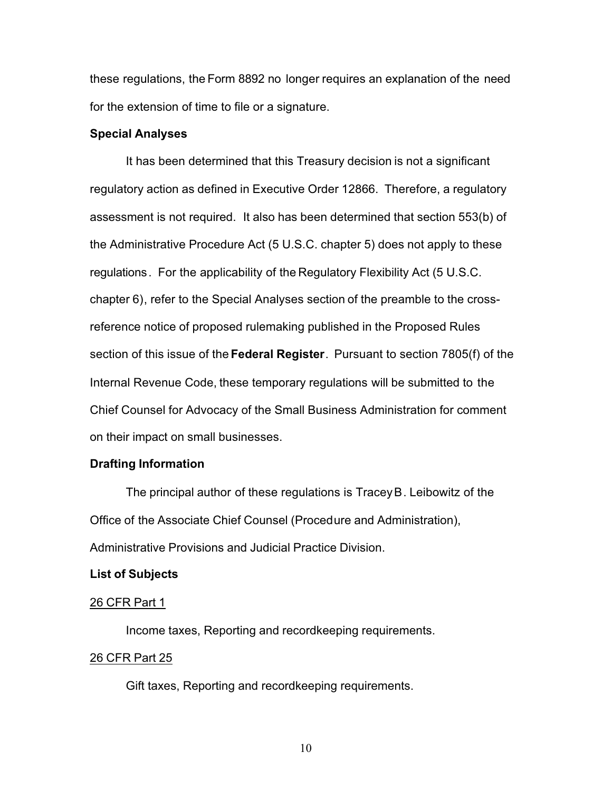these regulations, the Form 8892 no longer requires an explanation of the need for the extension of time to file or a signature.

# **Special Analyses**

It has been determined that this Treasury decision is not a significant regulatory action as defined in Executive Order 12866. Therefore, a regulatory assessment is not required. It also has been determined that section 553(b) of the Administrative Procedure Act (5 U.S.C. chapter 5) does not apply to these regulations. For the applicability of the Regulatory Flexibility Act (5 U.S.C. chapter 6), refer to the Special Analyses section of the preamble to the crossreference notice of proposed rulemaking published in the Proposed Rules section of this issue of the **Federal Register**. Pursuant to section 7805(f) of the Internal Revenue Code, these temporary regulations will be submitted to the Chief Counsel for Advocacy of the Small Business Administration for comment on their impact on small businesses.

# **Drafting Information**

The principal author of these regulations is Tracey B. Leibowitz of the Office of the Associate Chief Counsel (Procedure and Administration), Administrative Provisions and Judicial Practice Division.

#### **List of Subjects**

#### 26 CFR Part 1

Income taxes, Reporting and recordkeeping requirements.

### 26 CFR Part 25

Gift taxes, Reporting and recordkeeping requirements.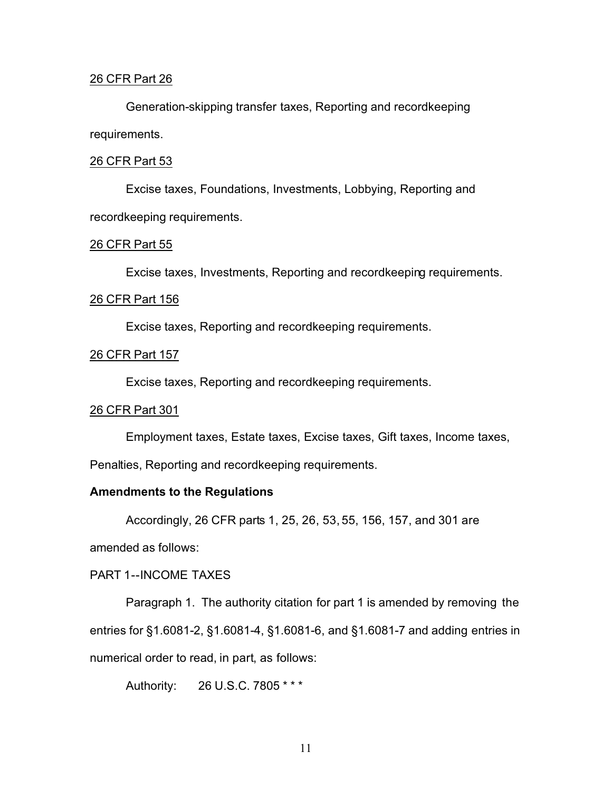## 26 CFR Part 26

Generation-skipping transfer taxes, Reporting and recordkeeping requirements.

## 26 CFR Part 53

Excise taxes, Foundations, Investments, Lobbying, Reporting and recordkeeping requirements.

### 26 CFR Part 55

Excise taxes, Investments, Reporting and recordkeeping requirements.

## 26 CFR Part 156

Excise taxes, Reporting and recordkeeping requirements.

# 26 CFR Part 157

Excise taxes, Reporting and recordkeeping requirements.

# 26 CFR Part 301

Employment taxes, Estate taxes, Excise taxes, Gift taxes, Income taxes,

Penalties, Reporting and recordkeeping requirements.

# **Amendments to the Regulations**

Accordingly, 26 CFR parts 1, 25, 26, 53, 55, 156, 157, and 301 are

amended as follows:

# PART 1--INCOME TAXES

Paragraph 1. The authority citation for part 1 is amended by removing the entries for §1.6081-2, §1.6081-4, §1.6081-6, and §1.6081-7 and adding entries in numerical order to read, in part, as follows:

Authority: 26 U.S.C. 7805 \* \* \*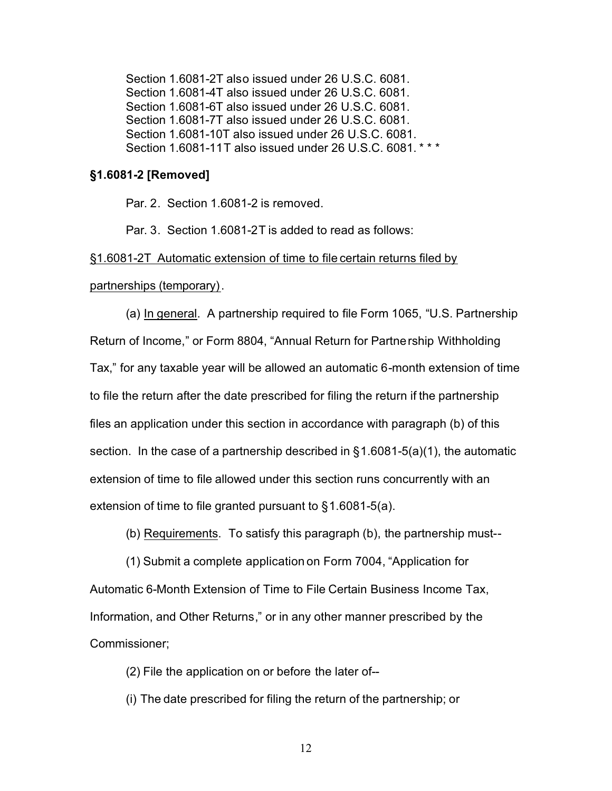Section 1.6081-2T also issued under 26 U.S.C. 6081. Section 1.6081-4T also issued under 26 U.S.C. 6081. Section 1.6081-6T also issued under 26 U.S.C. 6081. Section 1.6081-7T also issued under 26 U.S.C. 6081. Section 1.6081-10T also issued under 26 U.S.C. 6081. Section 1.6081-11T also issued under 26 U.S.C. 6081. \* \* \*

# **§1.6081-2 [Removed]**

Par. 2. Section 1.6081-2 is removed.

Par. 3. Section 1.6081-2T is added to read as follows:

§1.6081-2T Automatic extension of time to file certain returns filed by

partnerships (temporary).

(a) In general. A partnership required to file Form 1065, "U.S. Partnership Return of Income," or Form 8804, "Annual Return for Partnership Withholding Tax," for any taxable year will be allowed an automatic 6-month extension of time to file the return after the date prescribed for filing the return if the partnership files an application under this section in accordance with paragraph (b) of this section. In the case of a partnership described in §1.6081-5(a)(1), the automatic extension of time to file allowed under this section runs concurrently with an extension of time to file granted pursuant to §1.6081-5(a).

(b) Requirements. To satisfy this paragraph (b), the partnership must--

(1) Submit a complete application on Form 7004, "Application for Automatic 6-Month Extension of Time to File Certain Business Income Tax, Information, and Other Returns," or in any other manner prescribed by the Commissioner;

(2) File the application on or before the later of--

(i) The date prescribed for filing the return of the partnership; or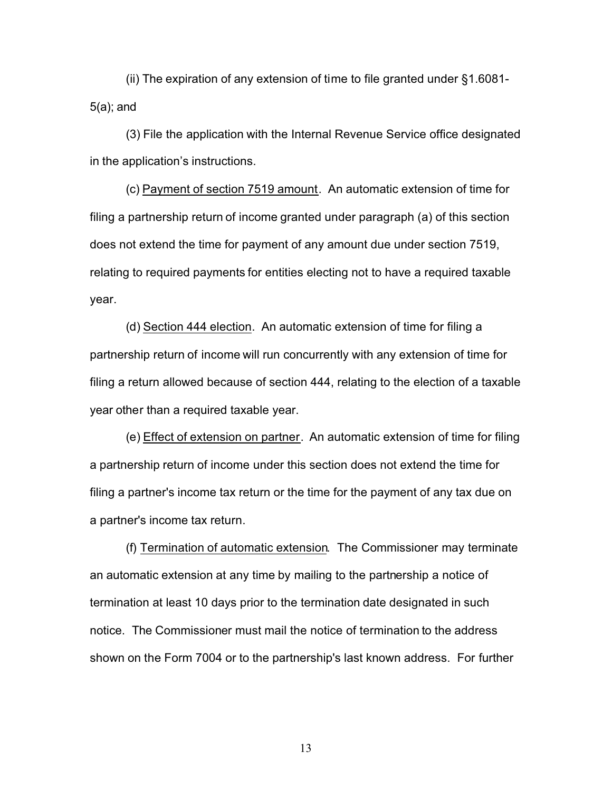(ii) The expiration of any extension of time to file granted under §1.6081- 5(a); and

(3) File the application with the Internal Revenue Service office designated in the application's instructions.

(c) Payment of section 7519 amount. An automatic extension of time for filing a partnership return of income granted under paragraph (a) of this section does not extend the time for payment of any amount due under section 7519, relating to required payments for entities electing not to have a required taxable year.

(d) Section 444 election. An automatic extension of time for filing a partnership return of income will run concurrently with any extension of time for filing a return allowed because of section 444, relating to the election of a taxable year other than a required taxable year.

(e) Effect of extension on partner. An automatic extension of time for filing a partnership return of income under this section does not extend the time for filing a partner's income tax return or the time for the payment of any tax due on a partner's income tax return.

(f) Termination of automatic extension. The Commissioner may terminate an automatic extension at any time by mailing to the partnership a notice of termination at least 10 days prior to the termination date designated in such notice. The Commissioner must mail the notice of termination to the address shown on the Form 7004 or to the partnership's last known address. For further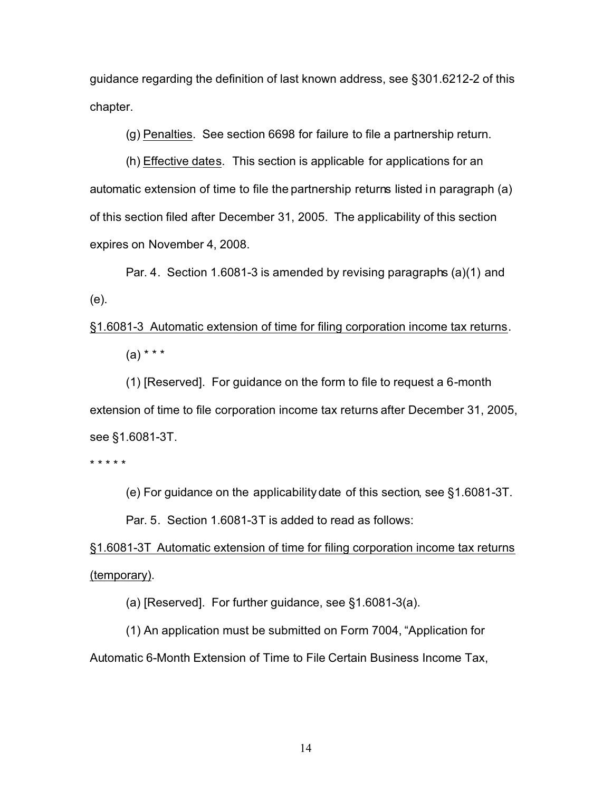guidance regarding the definition of last known address, see §301.6212-2 of this chapter.

(g) Penalties. See section 6698 for failure to file a partnership return.

(h) Effective dates. This section is applicable for applications for an automatic extension of time to file the partnership returns listed in paragraph (a) of this section filed after December 31, 2005. The applicability of this section expires on November 4, 2008.

Par. 4. Section 1.6081-3 is amended by revising paragraphs (a)(1) and (e).

§1.6081-3 Automatic extension of time for filing corporation income tax returns.  $(a) * * * *$ 

(1) [Reserved]. For guidance on the form to file to request a 6-month extension of time to file corporation income tax returns after December 31, 2005, see §1.6081-3T.

\* \* \* \* \*

(e) For guidance on the applicability date of this section, see §1.6081-3T.

Par. 5. Section 1.6081-3T is added to read as follows:

§1.6081-3T Automatic extension of time for filing corporation income tax returns (temporary).

(a) [Reserved]. For further guidance, see §1.6081-3(a).

(1) An application must be submitted on Form 7004, "Application for Automatic 6-Month Extension of Time to File Certain Business Income Tax,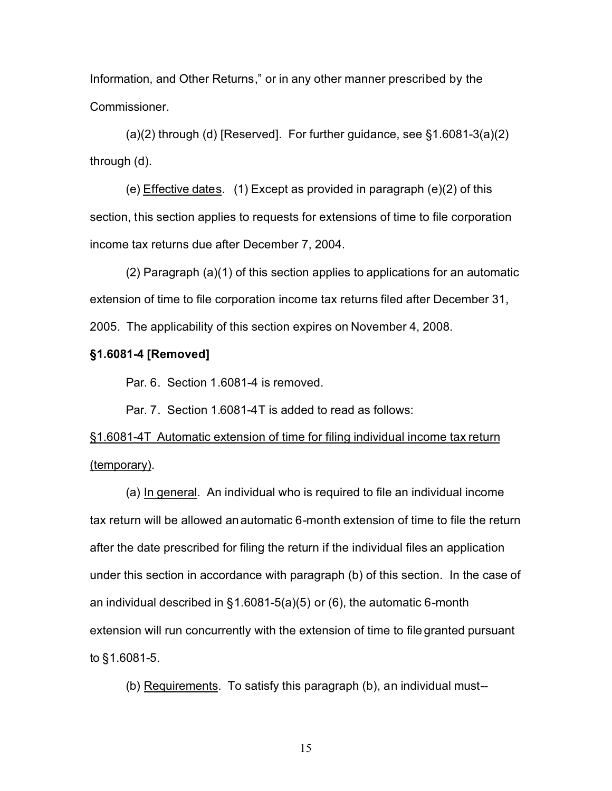Information, and Other Returns," or in any other manner prescribed by the Commissioner.

 $(a)(2)$  through  $(d)$  [Reserved]. For further guidance, see §1.6081-3 $(a)(2)$ through (d).

(e) Effective dates. (1) Except as provided in paragraph (e)(2) of this section, this section applies to requests for extensions of time to file corporation income tax returns due after December 7, 2004.

(2) Paragraph (a)(1) of this section applies to applications for an automatic extension of time to file corporation income tax returns filed after December 31, 2005. The applicability of this section expires on November 4, 2008.

# **§1.6081-4 [Removed]**

Par. 6. Section 1.6081-4 is removed.

Par. 7. Section 1.6081-4T is added to read as follows:

§1.6081-4T Automatic extension of time for filing individual income tax return (temporary).

(a) In general. An individual who is required to file an individual income tax return will be allowed an automatic 6-month extension of time to file the return after the date prescribed for filing the return if the individual files an application under this section in accordance with paragraph (b) of this section. In the case of an individual described in §1.6081-5(a)(5) or (6), the automatic 6-month extension will run concurrently with the extension of time to file granted pursuant to §1.6081-5.

(b) Requirements. To satisfy this paragraph (b), an individual must--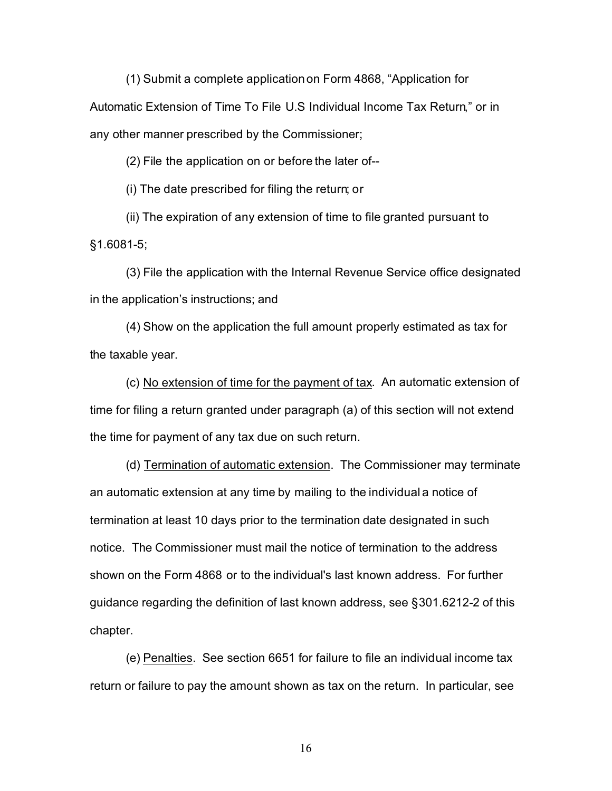(1) Submit a complete applicationon Form 4868, "Application for

Automatic Extension of Time To File U.S Individual Income Tax Return," or in any other manner prescribed by the Commissioner;

(2) File the application on or before the later of--

(i) The date prescribed for filing the return; or

(ii) The expiration of any extension of time to file granted pursuant to §1.6081-5;

(3) File the application with the Internal Revenue Service office designated in the application's instructions; and

(4) Show on the application the full amount properly estimated as tax for the taxable year.

(c) No extension of time for the payment of tax. An automatic extension of time for filing a return granted under paragraph (a) of this section will not extend the time for payment of any tax due on such return.

(d) Termination of automatic extension. The Commissioner may terminate an automatic extension at any time by mailing to the individual a notice of termination at least 10 days prior to the termination date designated in such notice. The Commissioner must mail the notice of termination to the address shown on the Form 4868 or to the individual's last known address. For further guidance regarding the definition of last known address, see §301.6212-2 of this chapter.

(e) Penalties. See section 6651 for failure to file an individual income tax return or failure to pay the amount shown as tax on the return. In particular, see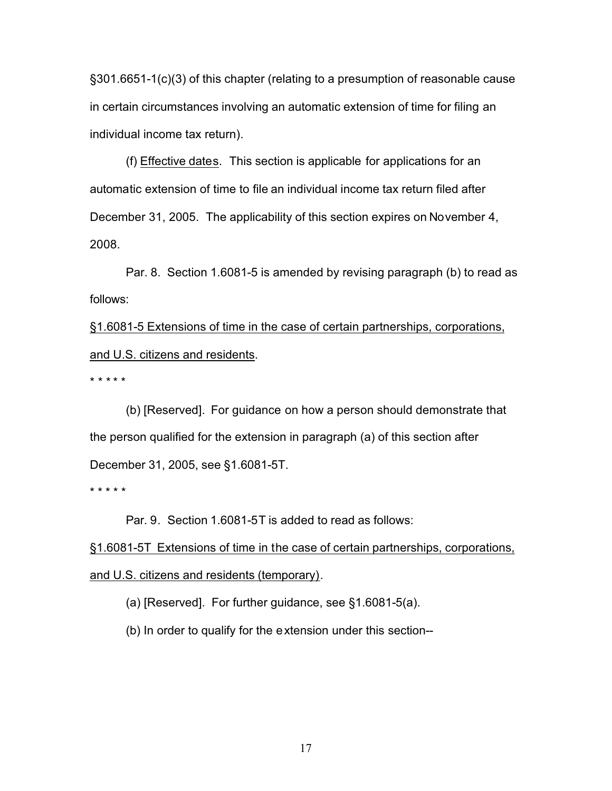§301.6651-1(c)(3) of this chapter (relating to a presumption of reasonable cause in certain circumstances involving an automatic extension of time for filing an individual income tax return).

(f) Effective dates. This section is applicable for applications for an automatic extension of time to file an individual income tax return filed after December 31, 2005. The applicability of this section expires on November 4, 2008.

Par. 8. Section 1.6081-5 is amended by revising paragraph (b) to read as follows:

§1.6081-5 Extensions of time in the case of certain partnerships, corporations, and U.S. citizens and residents.

\* \* \* \* \*

(b) [Reserved]. For guidance on how a person should demonstrate that the person qualified for the extension in paragraph (a) of this section after December 31, 2005, see §1.6081-5T.

\* \* \* \* \*

Par. 9. Section 1.6081-5T is added to read as follows:

§1.6081-5T Extensions of time in the case of certain partnerships, corporations, and U.S. citizens and residents (temporary).

(a) [Reserved]. For further guidance, see §1.6081-5(a).

(b) In order to qualify for the extension under this section--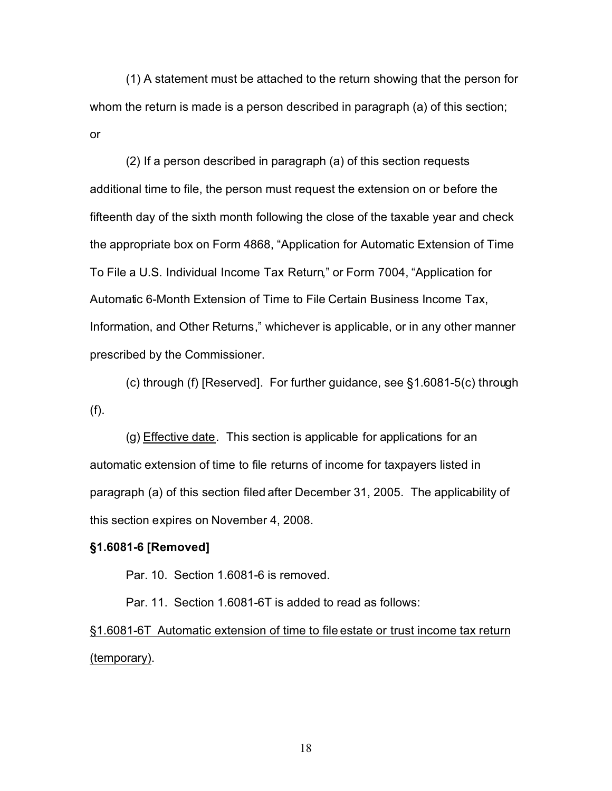(1) A statement must be attached to the return showing that the person for whom the return is made is a person described in paragraph (a) of this section; or

(2) If a person described in paragraph (a) of this section requests additional time to file, the person must request the extension on or before the fifteenth day of the sixth month following the close of the taxable year and check the appropriate box on Form 4868, "Application for Automatic Extension of Time To File a U.S. Individual Income Tax Return," or Form 7004, "Application for Automatic 6-Month Extension of Time to File Certain Business Income Tax, Information, and Other Returns," whichever is applicable, or in any other manner prescribed by the Commissioner.

(c) through (f) [Reserved]. For further guidance, see §1.6081-5(c) through (f).

(g) Effective date. This section is applicable for applications for an automatic extension of time to file returns of income for taxpayers listed in paragraph (a) of this section filed after December 31, 2005. The applicability of this section expires on November 4, 2008.

# **§1.6081-6 [Removed]**

Par. 10. Section 1.6081-6 is removed.

Par. 11. Section 1.6081-6T is added to read as follows:

§1.6081-6T Automatic extension of time to file estate or trust income tax return (temporary).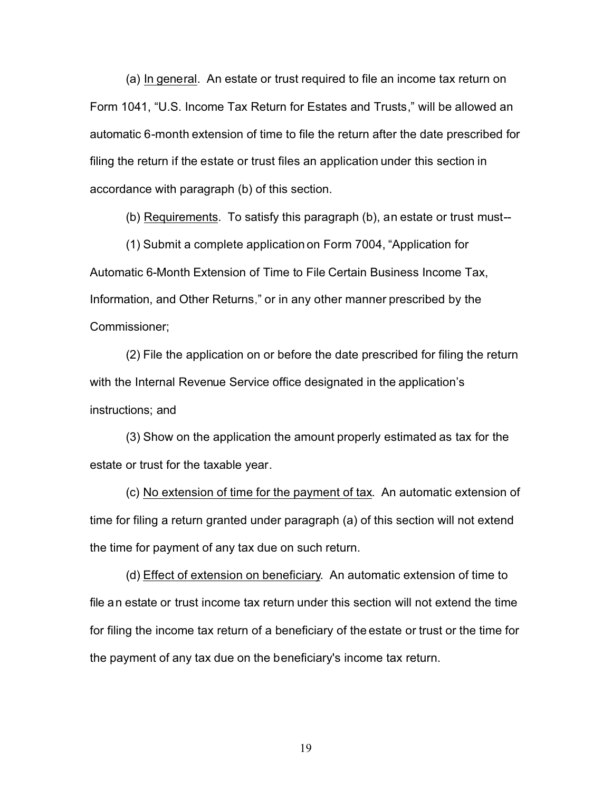(a) In general. An estate or trust required to file an income tax return on Form 1041, "U.S. Income Tax Return for Estates and Trusts," will be allowed an automatic 6-month extension of time to file the return after the date prescribed for filing the return if the estate or trust files an application under this section in accordance with paragraph (b) of this section.

(b) Requirements. To satisfy this paragraph (b), an estate or trust must--

(1) Submit a complete application on Form 7004, "Application for Automatic 6-Month Extension of Time to File Certain Business Income Tax, Information, and Other Returns," or in any other manner prescribed by the Commissioner;

(2) File the application on or before the date prescribed for filing the return with the Internal Revenue Service office designated in the application's instructions; and

(3) Show on the application the amount properly estimated as tax for the estate or trust for the taxable year.

(c) No extension of time for the payment of tax. An automatic extension of time for filing a return granted under paragraph (a) of this section will not extend the time for payment of any tax due on such return.

(d) Effect of extension on beneficiary. An automatic extension of time to file an estate or trust income tax return under this section will not extend the time for filing the income tax return of a beneficiary of the estate or trust or the time for the payment of any tax due on the beneficiary's income tax return.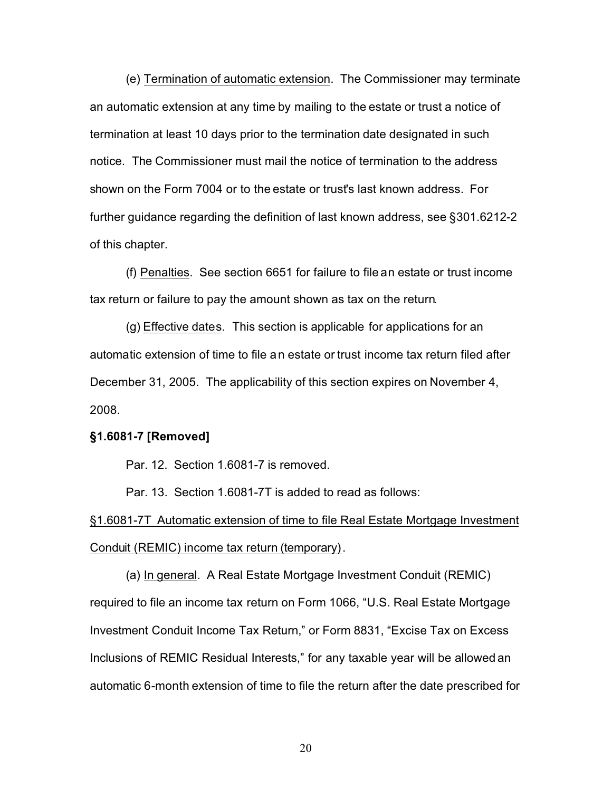(e) Termination of automatic extension. The Commissioner may terminate an automatic extension at any time by mailing to the estate or trust a notice of termination at least 10 days prior to the termination date designated in such notice. The Commissioner must mail the notice of termination to the address shown on the Form 7004 or to the estate or trust's last known address. For further guidance regarding the definition of last known address, see §301.6212-2 of this chapter.

(f) Penalties. See section 6651 for failure to file an estate or trust income tax return or failure to pay the amount shown as tax on the return.

(g) Effective dates. This section is applicable for applications for an automatic extension of time to file an estate or trust income tax return filed after December 31, 2005. The applicability of this section expires on November 4, 2008.

# **§1.6081-7 [Removed]**

Par. 12. Section 1.6081-7 is removed.

Par. 13. Section 1.6081-7T is added to read as follows:

§1.6081-7T Automatic extension of time to file Real Estate Mortgage Investment Conduit (REMIC) income tax return (temporary).

(a) In general. A Real Estate Mortgage Investment Conduit (REMIC) required to file an income tax return on Form 1066, "U.S. Real Estate Mortgage Investment Conduit Income Tax Return," or Form 8831, "Excise Tax on Excess Inclusions of REMIC Residual Interests," for any taxable year will be allowed an automatic 6-month extension of time to file the return after the date prescribed for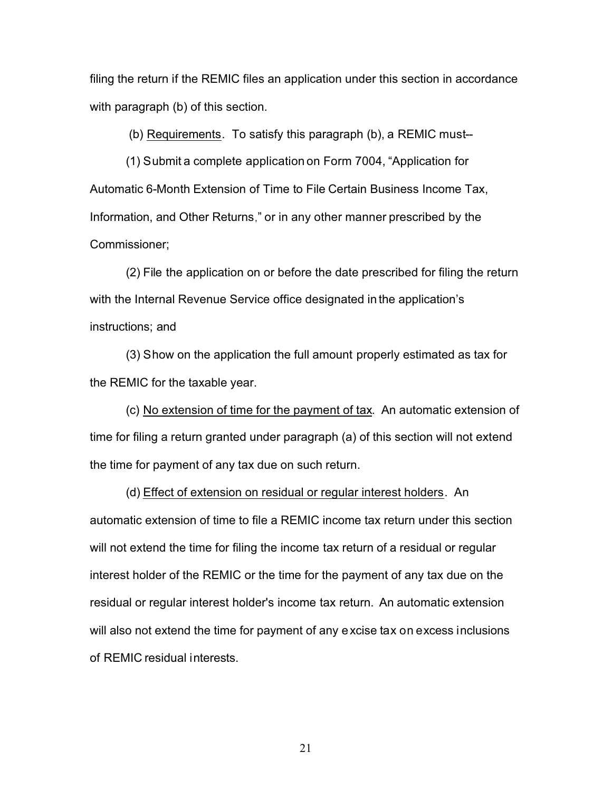filing the return if the REMIC files an application under this section in accordance with paragraph (b) of this section.

(b) Requirements. To satisfy this paragraph (b), a REMIC must--

(1) Submit a complete application on Form 7004, "Application for Automatic 6-Month Extension of Time to File Certain Business Income Tax, Information, and Other Returns," or in any other manner prescribed by the Commissioner;

(2) File the application on or before the date prescribed for filing the return with the Internal Revenue Service office designated in the application's instructions; and

(3) Show on the application the full amount properly estimated as tax for the REMIC for the taxable year.

(c) No extension of time for the payment of tax. An automatic extension of time for filing a return granted under paragraph (a) of this section will not extend the time for payment of any tax due on such return.

(d) Effect of extension on residual or regular interest holders. An automatic extension of time to file a REMIC income tax return under this section will not extend the time for filing the income tax return of a residual or regular interest holder of the REMIC or the time for the payment of any tax due on the residual or regular interest holder's income tax return. An automatic extension will also not extend the time for payment of any excise tax on excess inclusions of REMIC residual interests.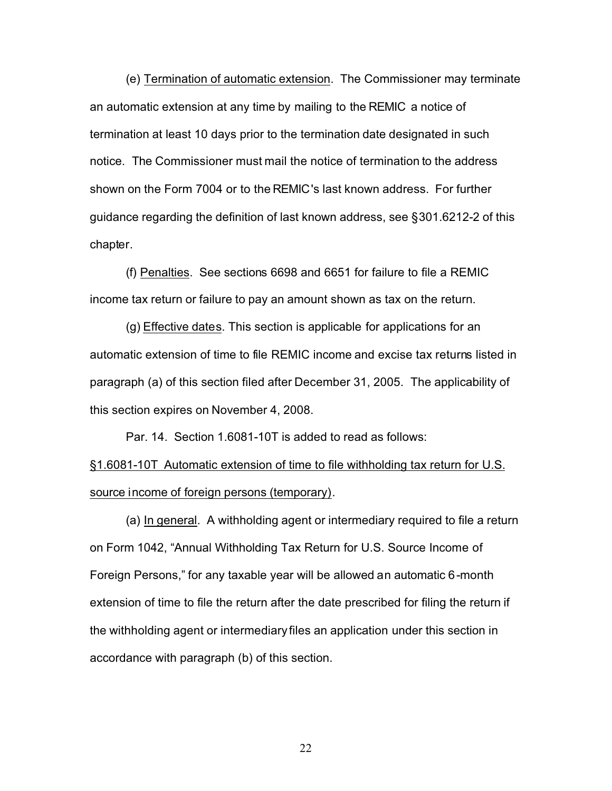(e) Termination of automatic extension. The Commissioner may terminate an automatic extension at any time by mailing to the REMIC a notice of termination at least 10 days prior to the termination date designated in such notice. The Commissioner must mail the notice of termination to the address shown on the Form 7004 or to the REMIC's last known address. For further guidance regarding the definition of last known address, see §301.6212-2 of this chapter.

(f) Penalties. See sections 6698 and 6651 for failure to file a REMIC income tax return or failure to pay an amount shown as tax on the return.

(g) Effective dates. This section is applicable for applications for an automatic extension of time to file REMIC income and excise tax returns listed in paragraph (a) of this section filed after December 31, 2005. The applicability of this section expires on November 4, 2008.

Par. 14. Section 1.6081-10T is added to read as follows:

§1.6081-10T Automatic extension of time to file withholding tax return for U.S. source income of foreign persons (temporary).

(a) In general. A withholding agent or intermediary required to file a return on Form 1042, "Annual Withholding Tax Return for U.S. Source Income of Foreign Persons," for any taxable year will be allowed an automatic 6-month extension of time to file the return after the date prescribed for filing the return if the withholding agent or intermediary files an application under this section in accordance with paragraph (b) of this section.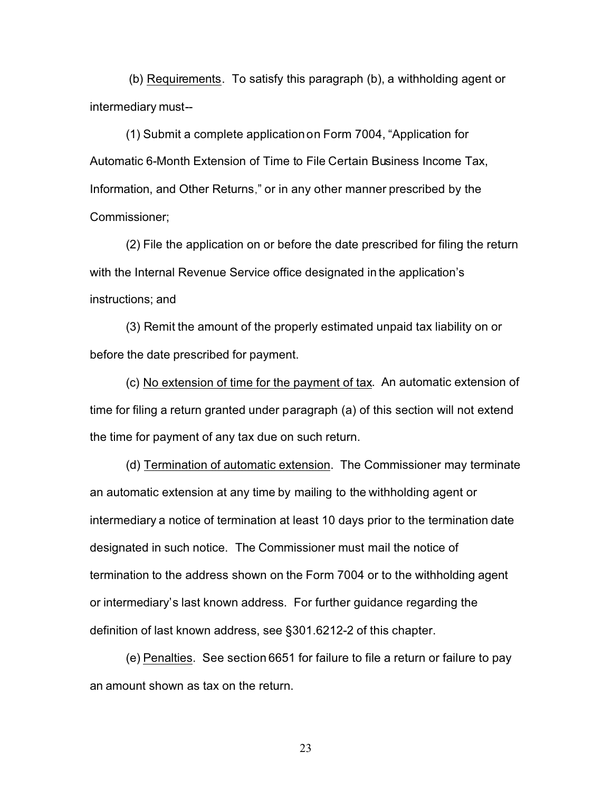(b) Requirements. To satisfy this paragraph (b), a withholding agent or intermediary must--

(1) Submit a complete application on Form 7004, "Application for Automatic 6-Month Extension of Time to File Certain Business Income Tax, Information, and Other Returns," or in any other manner prescribed by the Commissioner;

(2) File the application on or before the date prescribed for filing the return with the Internal Revenue Service office designated in the application's instructions; and

(3) Remit the amount of the properly estimated unpaid tax liability on or before the date prescribed for payment.

(c) No extension of time for the payment of tax. An automatic extension of time for filing a return granted under paragraph (a) of this section will not extend the time for payment of any tax due on such return.

(d) Termination of automatic extension. The Commissioner may terminate an automatic extension at any time by mailing to the withholding agent or intermediary a notice of termination at least 10 days prior to the termination date designated in such notice. The Commissioner must mail the notice of termination to the address shown on the Form 7004 or to the withholding agent or intermediary's last known address. For further guidance regarding the definition of last known address, see §301.6212-2 of this chapter.

(e) Penalties. See section 6651 for failure to file a return or failure to pay an amount shown as tax on the return.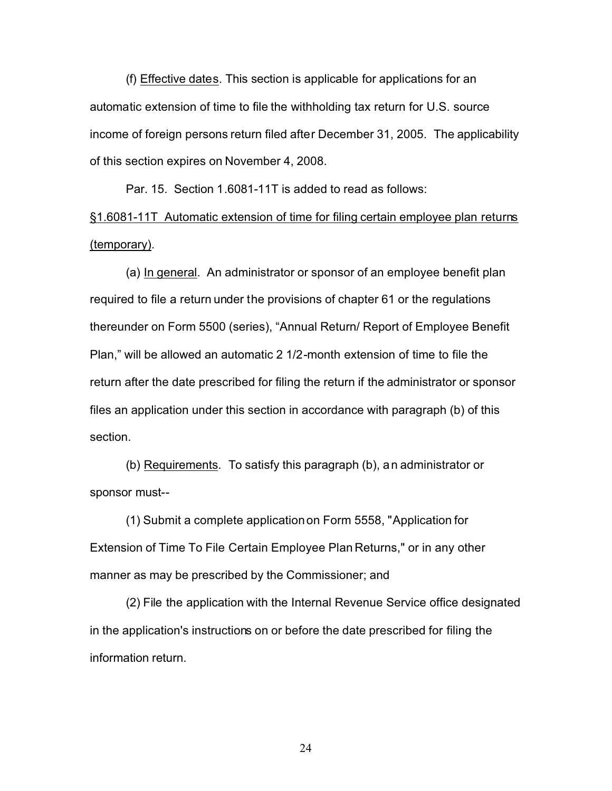(f) Effective dates. This section is applicable for applications for an automatic extension of time to file the withholding tax return for U.S. source income of foreign persons return filed after December 31, 2005. The applicability of this section expires on November 4, 2008.

Par. 15. Section 1.6081-11T is added to read as follows:

§1.6081-11T Automatic extension of time for filing certain employee plan returns (temporary).

(a) In general. An administrator or sponsor of an employee benefit plan required to file a return under the provisions of chapter 61 or the regulations thereunder on Form 5500 (series), "Annual Return/ Report of Employee Benefit Plan," will be allowed an automatic 2 1/2-month extension of time to file the return after the date prescribed for filing the return if the administrator or sponsor files an application under this section in accordance with paragraph (b) of this section.

(b) Requirements. To satisfy this paragraph (b), an administrator or sponsor must--

(1) Submit a complete application on Form 5558, "Application for Extension of Time To File Certain Employee Plan Returns," or in any other manner as may be prescribed by the Commissioner; and

(2) File the application with the Internal Revenue Service office designated in the application's instructions on or before the date prescribed for filing the information return.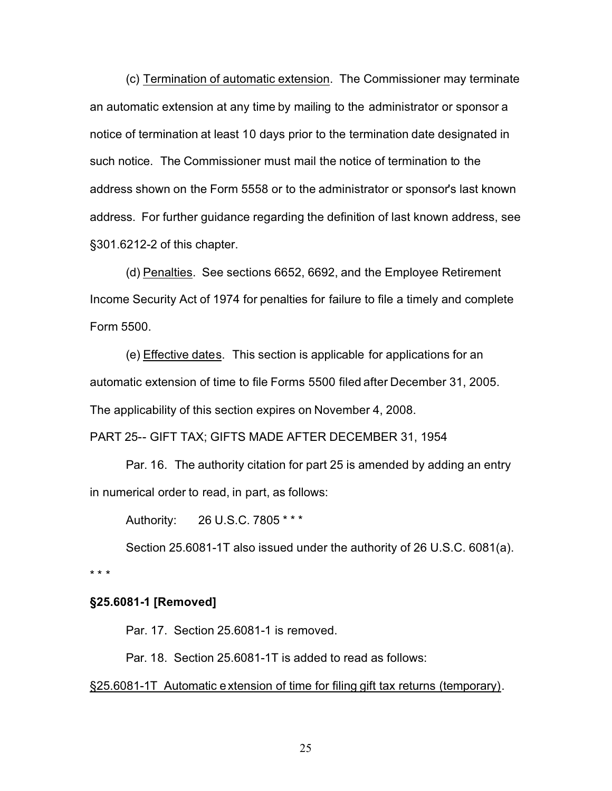(c) Termination of automatic extension. The Commissioner may terminate an automatic extension at any time by mailing to the administrator or sponsor a notice of termination at least 10 days prior to the termination date designated in such notice. The Commissioner must mail the notice of termination to the address shown on the Form 5558 or to the administrator or sponsor's last known address. For further guidance regarding the definition of last known address, see §301.6212-2 of this chapter.

(d) Penalties. See sections 6652, 6692, and the Employee Retirement Income Security Act of 1974 for penalties for failure to file a timely and complete Form 5500.

(e) Effective dates. This section is applicable for applications for an automatic extension of time to file Forms 5500 filed after December 31, 2005. The applicability of this section expires on November 4, 2008.

PART 25-- GIFT TAX; GIFTS MADE AFTER DECEMBER 31, 1954

Par. 16. The authority citation for part 25 is amended by adding an entry in numerical order to read, in part, as follows:

Authority: 26 U.S.C. 7805 \* \* \*

Section 25.6081-1T also issued under the authority of 26 U.S.C. 6081(a).

\*\*\*

# **§25.6081-1 [Removed]**

Par. 17. Section 25.6081-1 is removed.

Par. 18. Section 25.6081-1T is added to read as follows:

§25.6081-1T Automatic extension of time for filing gift tax returns (temporary).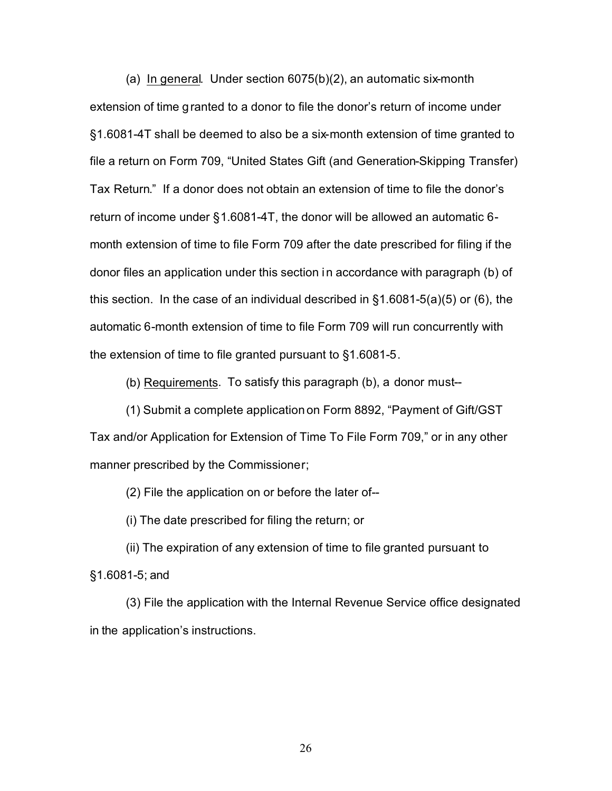(a) In general. Under section 6075(b)(2), an automatic six-month extension of time granted to a donor to file the donor's return of income under §1.6081-4T shall be deemed to also be a six-month extension of time granted to file a return on Form 709, "United States Gift (and Generation-Skipping Transfer) Tax Return." If a donor does not obtain an extension of time to file the donor's return of income under §1.6081-4T, the donor will be allowed an automatic 6 month extension of time to file Form 709 after the date prescribed for filing if the donor files an application under this section in accordance with paragraph (b) of this section. In the case of an individual described in §1.6081-5(a)(5) or (6), the automatic 6-month extension of time to file Form 709 will run concurrently with the extension of time to file granted pursuant to §1.6081-5.

(b) Requirements. To satisfy this paragraph (b), a donor must--

(1) Submit a complete application on Form 8892, "Payment of Gift/GST Tax and/or Application for Extension of Time To File Form 709," or in any other manner prescribed by the Commissioner;

(2) File the application on or before the later of--

(i) The date prescribed for filing the return; or

(ii) The expiration of any extension of time to file granted pursuant to §1.6081-5; and

(3) File the application with the Internal Revenue Service office designated in the application's instructions.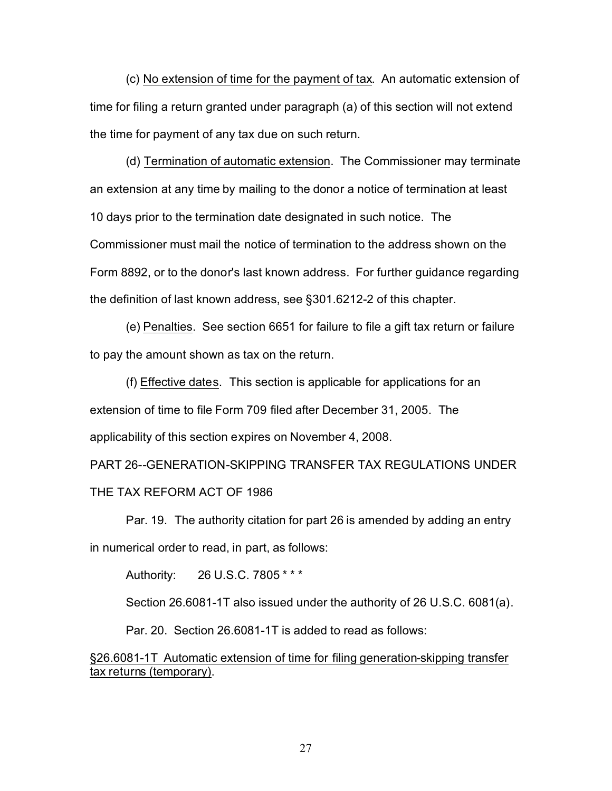(c) No extension of time for the payment of tax. An automatic extension of time for filing a return granted under paragraph (a) of this section will not extend the time for payment of any tax due on such return.

(d) Termination of automatic extension. The Commissioner may terminate an extension at any time by mailing to the donor a notice of termination at least 10 days prior to the termination date designated in such notice. The Commissioner must mail the notice of termination to the address shown on the Form 8892, or to the donor's last known address. For further guidance regarding the definition of last known address, see §301.6212-2 of this chapter.

(e) Penalties. See section 6651 for failure to file a gift tax return or failure to pay the amount shown as tax on the return.

(f) Effective dates. This section is applicable for applications for an extension of time to file Form 709 filed after December 31, 2005. The applicability of this section expires on November 4, 2008.

PART 26--GENERATION-SKIPPING TRANSFER TAX REGULATIONS UNDER THE TAX REFORM ACT OF 1986

Par. 19. The authority citation for part 26 is amended by adding an entry in numerical order to read, in part, as follows:

Authority: 26 U.S.C. 7805 \* \* \*

Section 26.6081-1T also issued under the authority of 26 U.S.C. 6081(a).

Par. 20. Section 26.6081-1T is added to read as follows:

§26.6081-1T Automatic extension of time for filing generation-skipping transfer tax returns (temporary).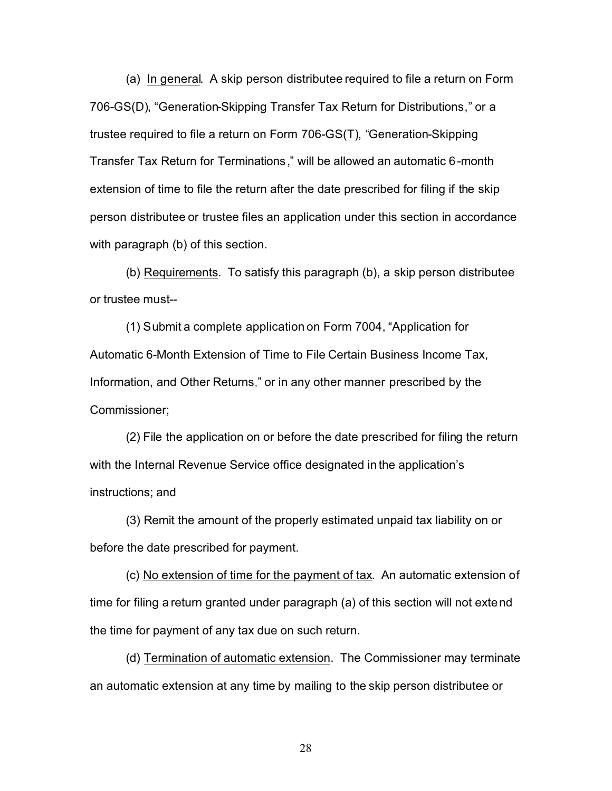(a) In general. A skip person distributee required to file a return on Form 706-GS(D), "Generation-Skipping Transfer Tax Return for Distributions," or a trustee required to file a return on Form 706-GS(T), "Generation-Skipping Transfer Tax Return for Terminations," will be allowed an automatic 6-month extension of time to file the return after the date prescribed for filing if the skip person distributee or trustee files an application under this section in accordance with paragraph (b) of this section.

(b) Requirements. To satisfy this paragraph (b), a skip person distributee or trustee must--

(1) Submit a complete application on Form 7004, "Application for Automatic 6-Month Extension of Time to File Certain Business Income Tax, Information, and Other Returns," or in any other manner prescribed by the Commissioner;

(2) File the application on or before the date prescribed for filing the return with the Internal Revenue Service office designated in the application's instructions; and

(3) Remit the amount of the properly estimated unpaid tax liability on or before the date prescribed for payment.

(c) No extension of time for the payment of tax. An automatic extension of time for filing a return granted under paragraph (a) of this section will not extend the time for payment of any tax due on such return.

(d) Termination of automatic extension. The Commissioner may terminate an automatic extension at any time by mailing to the skip person distributee or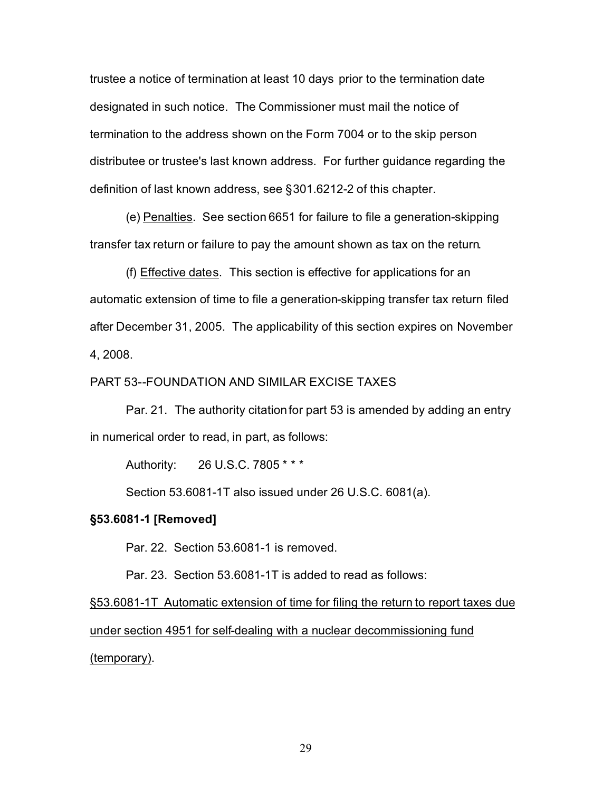trustee a notice of termination at least 10 days prior to the termination date designated in such notice. The Commissioner must mail the notice of termination to the address shown on the Form 7004 or to the skip person distributee or trustee's last known address. For further guidance regarding the definition of last known address, see §301.6212-2 of this chapter.

(e) Penalties. See section 6651 for failure to file a generation-skipping transfer tax return or failure to pay the amount shown as tax on the return.

(f) Effective dates. This section is effective for applications for an automatic extension of time to file a generation-skipping transfer tax return filed after December 31, 2005. The applicability of this section expires on November 4, 2008.

# PART 53--FOUNDATION AND SIMILAR EXCISE TAXES

Par. 21. The authority citation for part 53 is amended by adding an entry in numerical order to read, in part, as follows:

Authority: 26 U.S.C. 7805 \* \* \*

Section 53.6081-1T also issued under 26 U.S.C. 6081(a).

## **§53.6081-1 [Removed]**

Par. 22. Section 53.6081-1 is removed.

Par. 23. Section 53.6081-1T is added to read as follows:

§53.6081-1T Automatic extension of time for filing the return to report taxes due under section 4951 for self-dealing with a nuclear decommissioning fund (temporary).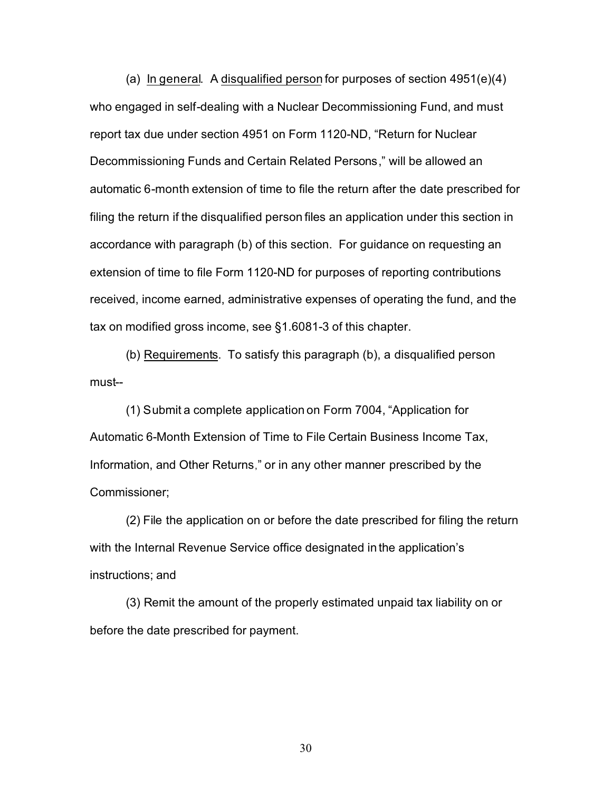(a) In general. A disqualified person for purposes of section 4951(e)(4) who engaged in self-dealing with a Nuclear Decommissioning Fund, and must report tax due under section 4951 on Form 1120-ND, "Return for Nuclear Decommissioning Funds and Certain Related Persons," will be allowed an automatic 6-month extension of time to file the return after the date prescribed for filing the return if the disqualified person files an application under this section in accordance with paragraph (b) of this section. For guidance on requesting an extension of time to file Form 1120-ND for purposes of reporting contributions received, income earned, administrative expenses of operating the fund, and the tax on modified gross income, see §1.6081-3 of this chapter.

(b) Requirements. To satisfy this paragraph (b), a disqualified person must--

(1) Submit a complete application on Form 7004, "Application for Automatic 6-Month Extension of Time to File Certain Business Income Tax, Information, and Other Returns," or in any other manner prescribed by the Commissioner;

(2) File the application on or before the date prescribed for filing the return with the Internal Revenue Service office designated in the application's instructions; and

(3) Remit the amount of the properly estimated unpaid tax liability on or before the date prescribed for payment.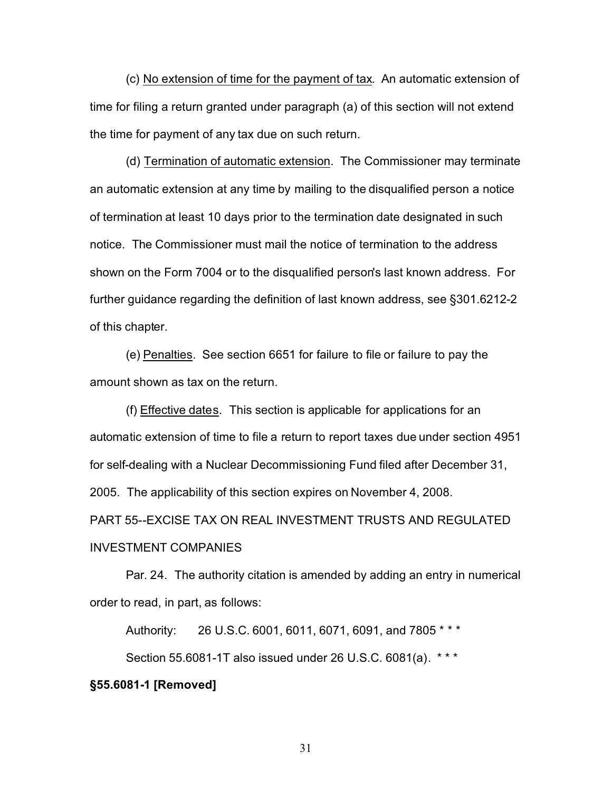(c) No extension of time for the payment of tax. An automatic extension of time for filing a return granted under paragraph (a) of this section will not extend the time for payment of any tax due on such return.

(d) Termination of automatic extension. The Commissioner may terminate an automatic extension at any time by mailing to the disqualified person a notice of termination at least 10 days prior to the termination date designated in such notice. The Commissioner must mail the notice of termination to the address shown on the Form 7004 or to the disqualified person's last known address. For further guidance regarding the definition of last known address, see §301.6212-2 of this chapter.

(e) Penalties. See section 6651 for failure to file or failure to pay the amount shown as tax on the return.

(f) Effective dates. This section is applicable for applications for an automatic extension of time to file a return to report taxes due under section 4951 for self-dealing with a Nuclear Decommissioning Fund filed after December 31, 2005. The applicability of this section expires on November 4, 2008. PART 55--EXCISE TAX ON REAL INVESTMENT TRUSTS AND REGULATED

# INVESTMENT COMPANIES

Par. 24. The authority citation is amended by adding an entry in numerical order to read, in part, as follows:

Authority: 26 U.S.C. 6001, 6011, 6071, 6091, and 7805 \* \* \*

Section 55.6081-1T also issued under 26 U.S.C. 6081(a). \* \* \*

# **§55.6081-1 [Removed]**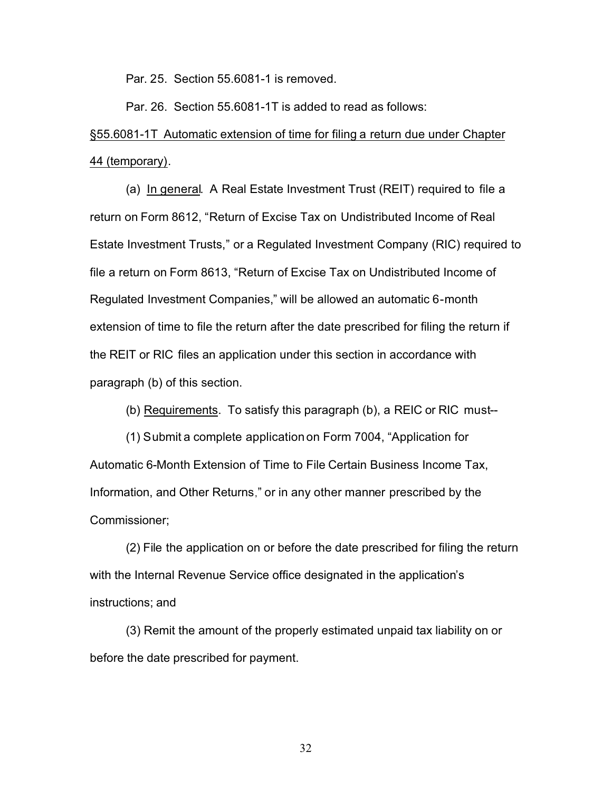Par. 25. Section 55.6081-1 is removed.

Par. 26. Section 55.6081-1T is added to read as follows:

# §55.6081-1T Automatic extension of time for filing a return due under Chapter 44 (temporary).

(a) In general. A Real Estate Investment Trust (REIT) required to file a return on Form 8612, "Return of Excise Tax on Undistributed Income of Real Estate Investment Trusts," or a Regulated Investment Company (RIC) required to file a return on Form 8613, "Return of Excise Tax on Undistributed Income of Regulated Investment Companies," will be allowed an automatic 6-month extension of time to file the return after the date prescribed for filing the return if the REIT or RIC files an application under this section in accordance with paragraph (b) of this section.

(b) Requirements. To satisfy this paragraph (b), a REIC or RIC must--

(1) Submit a complete application on Form 7004, "Application for Automatic 6-Month Extension of Time to File Certain Business Income Tax, Information, and Other Returns," or in any other manner prescribed by the Commissioner;

(2) File the application on or before the date prescribed for filing the return with the Internal Revenue Service office designated in the application's instructions; and

(3) Remit the amount of the properly estimated unpaid tax liability on or before the date prescribed for payment.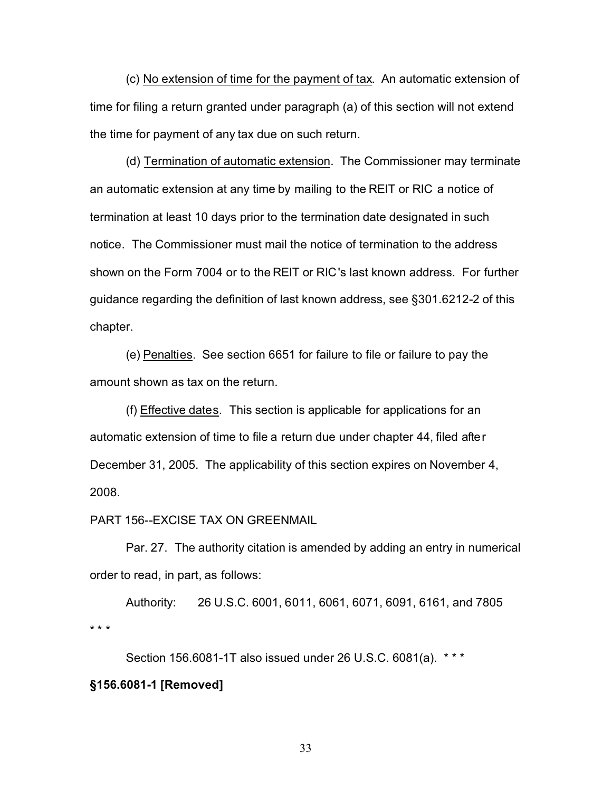(c) No extension of time for the payment of tax. An automatic extension of time for filing a return granted under paragraph (a) of this section will not extend the time for payment of any tax due on such return.

(d) Termination of automatic extension. The Commissioner may terminate an automatic extension at any time by mailing to the REIT or RIC a notice of termination at least 10 days prior to the termination date designated in such notice. The Commissioner must mail the notice of termination to the address shown on the Form 7004 or to the REIT or RIC's last known address. For further guidance regarding the definition of last known address, see §301.6212-2 of this chapter.

(e) Penalties. See section 6651 for failure to file or failure to pay the amount shown as tax on the return.

(f) Effective dates. This section is applicable for applications for an automatic extension of time to file a return due under chapter 44, filed after December 31, 2005. The applicability of this section expires on November 4, 2008.

#### PART 156--EXCISE TAX ON GREENMAIL

Par. 27. The authority citation is amended by adding an entry in numerical order to read, in part, as follows:

Authority: 26 U.S.C. 6001, 6011, 6061, 6071, 6091, 6161, and 7805 \*\*\*

Section 156.6081-1T also issued under 26 U.S.C. 6081(a). \* \* \*

# **§156.6081-1 [Removed]**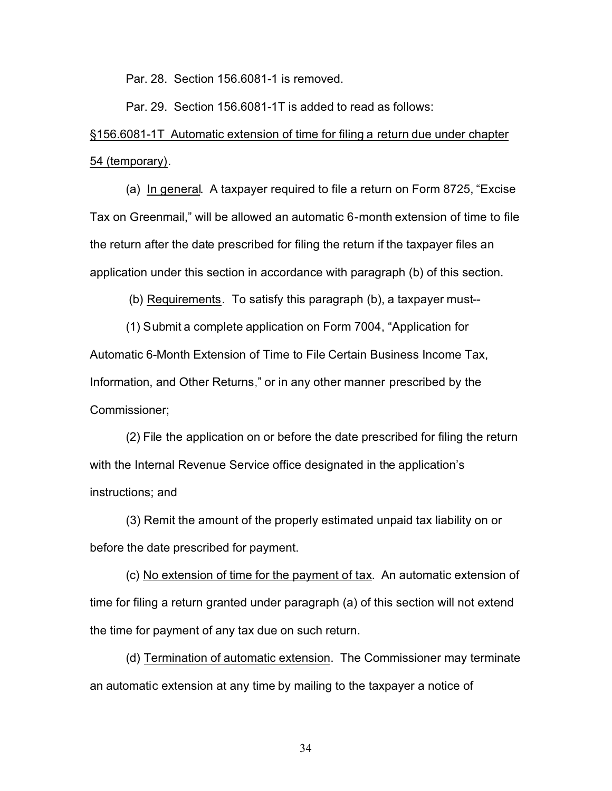Par. 28. Section 156.6081-1 is removed.

Par. 29. Section 156.6081-1T is added to read as follows:

# §156.6081-1T Automatic extension of time for filing a return due under chapter 54 (temporary).

(a) In general. A taxpayer required to file a return on Form 8725, "Excise Tax on Greenmail," will be allowed an automatic 6-month extension of time to file the return after the date prescribed for filing the return if the taxpayer files an application under this section in accordance with paragraph (b) of this section.

(b) Requirements. To satisfy this paragraph (b), a taxpayer must--

(1) Submit a complete application on Form 7004, "Application for Automatic 6-Month Extension of Time to File Certain Business Income Tax, Information, and Other Returns," or in any other manner prescribed by the Commissioner;

(2) File the application on or before the date prescribed for filing the return with the Internal Revenue Service office designated in the application's instructions; and

(3) Remit the amount of the properly estimated unpaid tax liability on or before the date prescribed for payment.

(c) No extension of time for the payment of tax. An automatic extension of time for filing a return granted under paragraph (a) of this section will not extend the time for payment of any tax due on such return.

(d) Termination of automatic extension. The Commissioner may terminate an automatic extension at any time by mailing to the taxpayer a notice of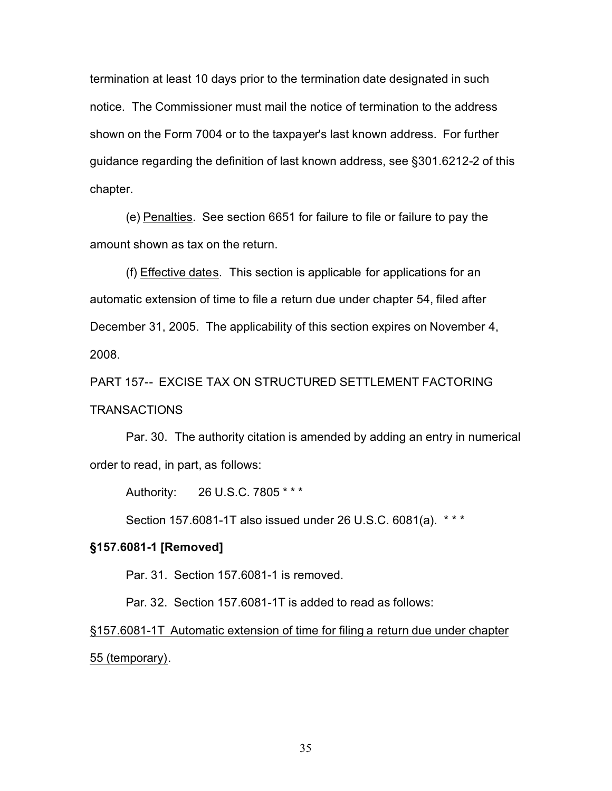termination at least 10 days prior to the termination date designated in such notice. The Commissioner must mail the notice of termination to the address shown on the Form 7004 or to the taxpayer's last known address. For further guidance regarding the definition of last known address, see §301.6212-2 of this chapter.

(e) Penalties. See section 6651 for failure to file or failure to pay the amount shown as tax on the return.

(f) Effective dates. This section is applicable for applications for an automatic extension of time to file a return due under chapter 54, filed after December 31, 2005. The applicability of this section expires on November 4, 2008.

PART 157-- EXCISE TAX ON STRUCTURED SETTLEMENT FACTORING TRANSACTIONS

Par. 30. The authority citation is amended by adding an entry in numerical order to read, in part, as follows:

Authority: 26 U.S.C. 7805 \* \* \*

Section 157.6081-1T also issued under 26 U.S.C. 6081(a). \* \* \*

# **§157.6081-1 [Removed]**

Par. 31. Section 157.6081-1 is removed.

Par. 32. Section 157.6081-1T is added to read as follows:

§157.6081-1T Automatic extension of time for filing a return due under chapter 55 (temporary).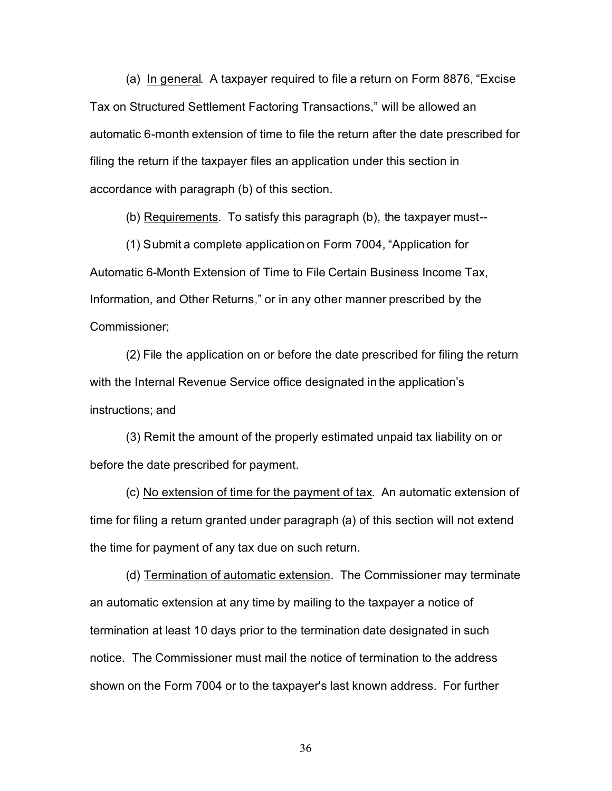(a) In general. A taxpayer required to file a return on Form 8876, "Excise Tax on Structured Settlement Factoring Transactions," will be allowed an automatic 6-month extension of time to file the return after the date prescribed for filing the return if the taxpayer files an application under this section in accordance with paragraph (b) of this section.

(b) Requirements. To satisfy this paragraph (b), the taxpayer must--

(1) Submit a complete application on Form 7004, "Application for Automatic 6-Month Extension of Time to File Certain Business Income Tax, Information, and Other Returns," or in any other manner prescribed by the Commissioner;

(2) File the application on or before the date prescribed for filing the return with the Internal Revenue Service office designated in the application's instructions; and

(3) Remit the amount of the properly estimated unpaid tax liability on or before the date prescribed for payment.

(c) No extension of time for the payment of tax. An automatic extension of time for filing a return granted under paragraph (a) of this section will not extend the time for payment of any tax due on such return.

(d) Termination of automatic extension. The Commissioner may terminate an automatic extension at any time by mailing to the taxpayer a notice of termination at least 10 days prior to the termination date designated in such notice. The Commissioner must mail the notice of termination to the address shown on the Form 7004 or to the taxpayer's last known address. For further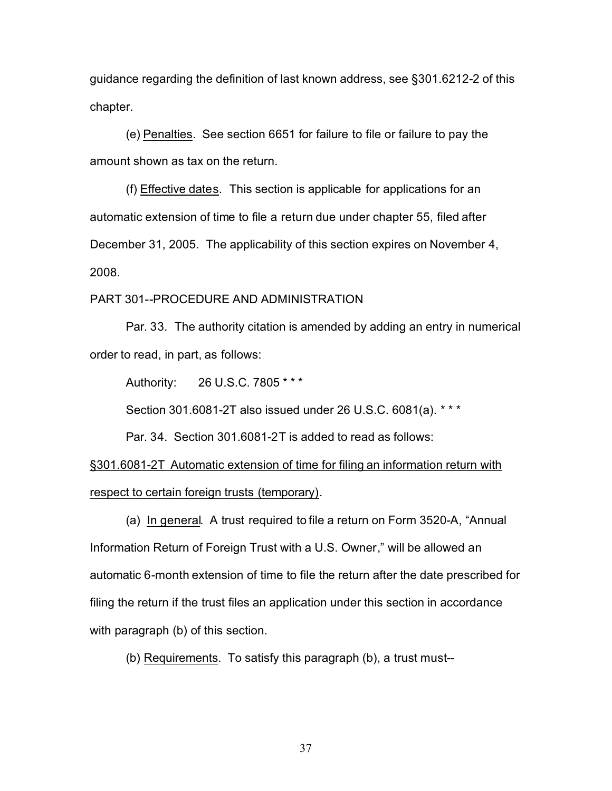guidance regarding the definition of last known address, see §301.6212-2 of this chapter.

(e) Penalties. See section 6651 for failure to file or failure to pay the amount shown as tax on the return.

(f) Effective dates. This section is applicable for applications for an automatic extension of time to file a return due under chapter 55, filed after December 31, 2005. The applicability of this section expires on November 4, 2008.

# PART 301--PROCEDURE AND ADMINISTRATION

Par. 33. The authority citation is amended by adding an entry in numerical order to read, in part, as follows:

Authority: 26 U.S.C. 7805 \* \* \*

Section 301.6081-2T also issued under 26 U.S.C. 6081(a). \* \* \*

Par. 34. Section 301.6081-2T is added to read as follows:

§301.6081-2T Automatic extension of time for filing an information return with respect to certain foreign trusts (temporary).

(a) In general. A trust required to file a return on Form 3520-A, "Annual Information Return of Foreign Trust with a U.S. Owner," will be allowed an automatic 6-month extension of time to file the return after the date prescribed for filing the return if the trust files an application under this section in accordance with paragraph (b) of this section.

(b) Requirements. To satisfy this paragraph (b), a trust must--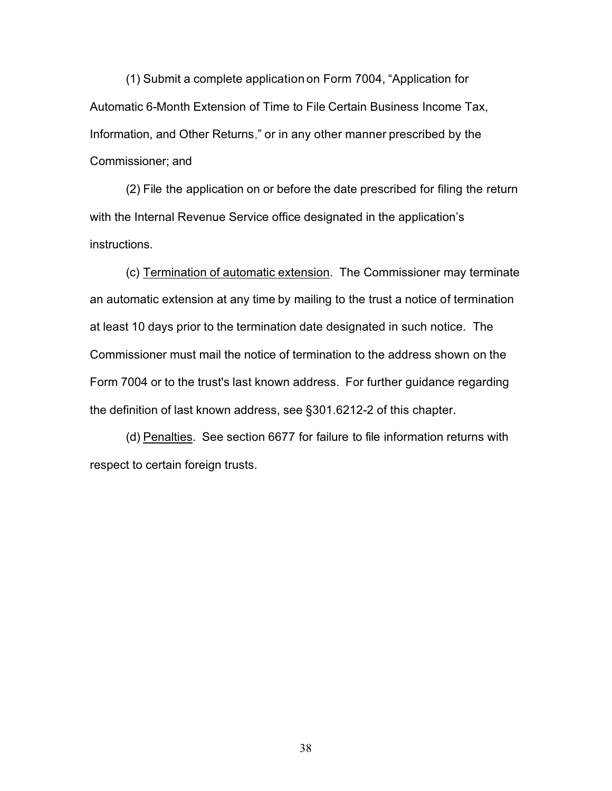(1) Submit a complete application on Form 7004, "Application for Automatic 6-Month Extension of Time to File Certain Business Income Tax, Information, and Other Returns," or in any other manner prescribed by the Commissioner; and

(2) File the application on or before the date prescribed for filing the return with the Internal Revenue Service office designated in the application's instructions.

(c) Termination of automatic extension. The Commissioner may terminate an automatic extension at any time by mailing to the trust a notice of termination at least 10 days prior to the termination date designated in such notice. The Commissioner must mail the notice of termination to the address shown on the Form 7004 or to the trust's last known address. For further guidance regarding the definition of last known address, see §301.6212-2 of this chapter.

(d) Penalties. See section 6677 for failure to file information returns with respect to certain foreign trusts.